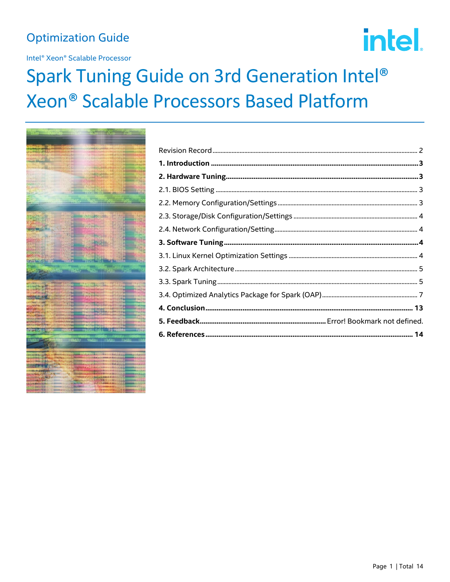# **Optimization Guide**

Intel® Xeon® Scalable Processor

# intel.

# Spark Tuning Guide on 3rd Generation Intel® Xeon® Scalable Processors Based Platform

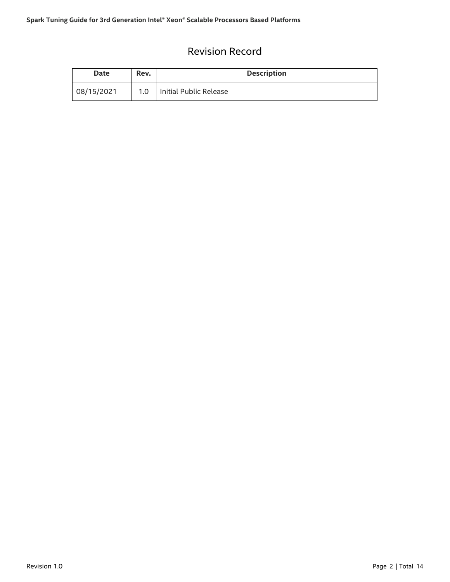# Revision Record

<span id="page-1-0"></span>

| Date       | Rev.             | <b>Description</b>     |
|------------|------------------|------------------------|
| 08/15/2021 | 1.0 <sub>1</sub> | Initial Public Release |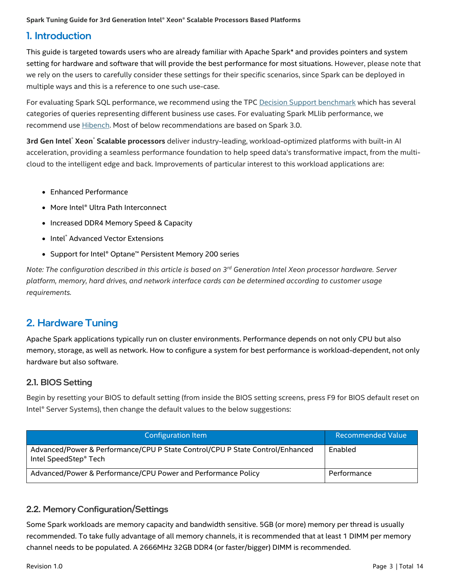# <span id="page-2-0"></span>1. Introduction

This guide is targeted towards users who are already familiar with Apache Spark\* and provides pointers and system setting for hardware and software that will provide the best performance for most situations. However, please note that we rely on the users to carefully consider these settings for their specific scenarios, since Spark can be deployed in multiple ways and this is a reference to one such use-case.

For evaluating Spark SQL performance, we recommend using the TPC [Decision Support benchmark](https://github.com/databricks/spark-sql-perf) which has several categories of queries representing different business use cases. For evaluating Spark MLlib performance, we recommend use **Hibench**. Most of below recommendations are based on Spark 3.0.

**3rd Gen Intel**® **Xeon**® **Scalable processors** deliver industry-leading, workload-optimized platforms with built-in AI acceleration, providing a seamless performance foundation to help speed data's transformative impact, from the multicloud to the intelligent edge and back. Improvements of particular interest to this workload applications are:

- Enhanced Performance
- More Intel® Ultra Path Interconnect
- Increased DDR4 Memory Speed & Capacity
- Intel® Advanced Vector Extensions
- Support for Intel® Optane™ Persistent Memory 200 series

*Note: The configuration described in this article is based on 3 rd Generation Intel Xeon processor hardware. Server platform, memory, hard drives, and network interface cards can be determined according to customer usage requirements.*

# <span id="page-2-1"></span>2. Hardware Tuning

Apache Spark applications typically run on cluster environments. Performance depends on not only CPU but also memory, storage, as well as network. How to configure a system for best performance is workload-dependent, not only hardware but also software.

#### <span id="page-2-2"></span>2.1. BIOS Setting

Begin by resetting your BIOS to default setting (from inside the BIOS setting screens, press F9 for BIOS default reset on Intel® Server Systems), then change the default values to the below suggestions:

| <b>Configuration Item</b>                                                                                          | Recommended Value |
|--------------------------------------------------------------------------------------------------------------------|-------------------|
| Advanced/Power & Performance/CPU P State Control/CPU P State Control/Enhanced<br>Intel SpeedStep <sup>®</sup> Tech | Enabled           |
| Advanced/Power & Performance/CPU Power and Performance Policy                                                      | Performance       |

# <span id="page-2-3"></span>2.2. Memory Configuration/Settings

Some Spark workloads are memory capacity and bandwidth sensitive. 5GB (or more) memory per thread is usually recommended. To take fully advantage of all memory channels, it is recommended that at least 1 DIMM per memory channel needs to be populated. A 2666MHz 32GB DDR4 (or faster/bigger) DIMM is recommended.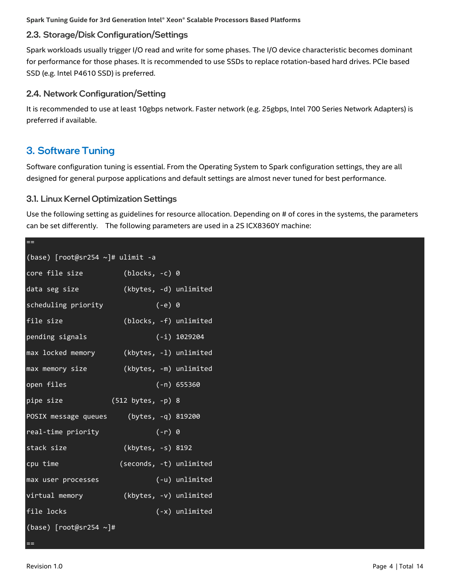# <span id="page-3-0"></span>2.3. Storage/Disk Configuration/Settings

Spark workloads usually trigger I/O read and write for some phases. The I/O device characteristic becomes dominant for performance for those phases. It is recommended to use SSDs to replace rotation-based hard drives. PCIe based SSD (e.g. Intel P4610 SSD) is preferred.

#### <span id="page-3-1"></span>2.4. Network Configuration/Setting

It is recommended to use at least 10gbps network. Faster network (e.g. 25gbps, Intel 700 Series Network Adapters) is preferred if available.

# <span id="page-3-2"></span>3. Software Tuning

==

Software configuration tuning is essential. From the Operating System to Spark configuration settings, they are all designed for general purpose applications and default settings are almost never tuned for best performance.

#### <span id="page-3-3"></span>3.1. Linux Kernel Optimization Settings

Use the following setting as guidelines for resource allocation. Depending on # of cores in the systems, the parameters can be set differently. The following parameters are used in a 2S ICX8360Y machine:

| (base) [root@sr254 ~]# ulimit -a        |                         |                |
|-----------------------------------------|-------------------------|----------------|
| core file size                          | $(blocks, -c)$ 0        |                |
| data seg size                           | (kbytes, -d) unlimited  |                |
| scheduling priority                     | $(-e)$ 0                |                |
| file size                               | (blocks, -f) unlimited  |                |
| pending signals                         |                         | $(-i)$ 1029204 |
| max locked memory                       | (kbytes, -1) unlimited  |                |
| max memory size                         | (kbytes, -m) unlimited  |                |
| open files                              |                         | $(-n) 655360$  |
| pipe size                               | $(512 bytes, -p) 8$     |                |
| POSIX message queues (bytes, -q) 819200 |                         |                |
| real-time priority                      | $(-r) 0$                |                |
| stack size                              | (kbytes, -s) 8192       |                |
| cpu time                                | (seconds, -t) unlimited |                |
| max user processes                      |                         | (-u) unlimited |
| virtual memory                          | (kbytes, -v) unlimited  |                |
| file locks                              |                         | (-x) unlimited |
| (base) $[root@sr254 \sim]$ #            |                         |                |

==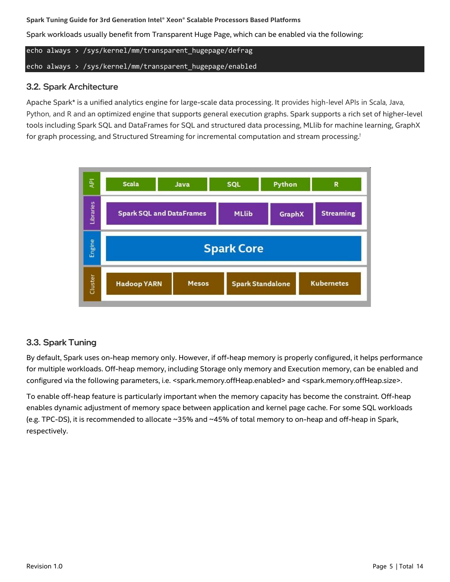Spark workloads usually benefit from Transparent Huge Page, which can be enabled via the following:

echo always > /sys/kernel/mm/transparent\_hugepage/defrag echo always > /sys/kernel/mm/transparent\_hugepage/enabled

#### <span id="page-4-0"></span>3.2. Spark Architecture

Apache Spark\* is a unified analytics engine for large-scale data processing. It provides high-level APIs in Scala, Java, Python, and R and an optimized engine that supports general execution graphs. Spark supports a rich set of higher-level tools including Spark SQL and DataFrames for SQL and structured data processing, MLlib for machine learning, GraphX for graph processing, and Structured Streaming for incremental computation and stream processing.<sup>1</sup>



# <span id="page-4-1"></span>3.3. Spark Tuning

By default, Spark uses on-heap memory only. However, if off-heap memory is properly configured, it helps performance for multiple workloads. Off-heap memory, including Storage only memory and Execution memory, can be enabled and configured via the following parameters, i.e. <spark.memory.offHeap.enabled> and <spark.memory.offHeap.size>.

To enable off-heap feature is particularly important when the memory capacity has become the constraint. Off-heap enables dynamic adjustment of memory space between application and kernel page cache. For some SQL workloads (e.g. TPC-DS), it is recommended to allocate ~35% and ~45% of total memory to on-heap and off-heap in Spark, respectively.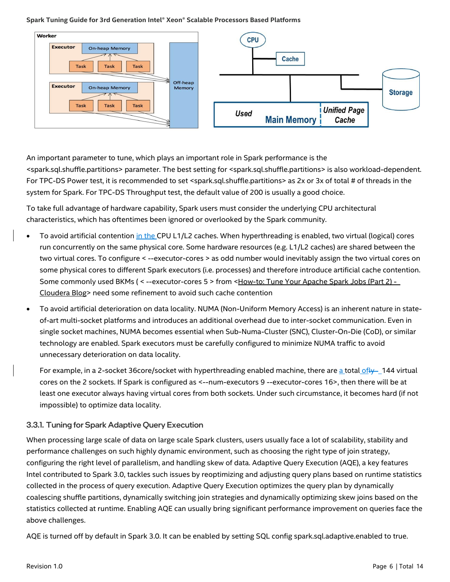

An important parameter to tune, which plays an important role in Spark performance is the <spark.sql.shuffle.partitions> parameter. The best setting for <spark.sql.shuffle.partitions> is also workload-dependent. For TPC-DS Power test, it is recommended to set <spark.sql.shuffle.partitions> as 2x or 3x of total # of threads in the system for Spark. For TPC-DS Throughput test, the default value of 200 is usually a good choice.

To take full advantage of hardware capability, Spark users must consider the underlying CPU architectural characteristics, which has oftentimes been ignored or overlooked by the Spark community.

- To avoid artificial contention in the CPU L1/L2 caches. When hyperthreading is enabled, two virtual (logical) cores run concurrently on the same physical core. Some hardware resources (e.g. L1/L2 caches) are shared between the two virtual cores. To configure < --executor-cores > as odd number would inevitably assign the two virtual cores on some physical cores to different Spark executors (i.e. processes) and therefore introduce artificial cache contention. Some commonly used BKMs (< --executor-cores 5 > from [<How-to: Tune Your Apache Spark Jobs \(Part 2\) -](https://blog.cloudera.com/how-to-tune-your-apache-spark-jobs-part-2/) [Cloudera Blog>](https://blog.cloudera.com/how-to-tune-your-apache-spark-jobs-part-2/) need some refinement to avoid such cache contention
- To avoid artificial deterioration on data locality. NUMA (Non-Uniform Memory Access) is an inherent nature in stateof-art multi-socket platforms and introduces an additional overhead due to inter-socket communication. Even in single socket machines, NUMA becomes essential when Sub-Numa-Cluster (SNC), Cluster-On-Die (CoD), or similar technology are enabled. Spark executors must be carefully configured to minimize NUMA traffic to avoid unnecessary deterioration on data locality.

For example, in a 2-socket 36core/socket with hyperthreading enabled machine, there are a total of  $\frac{1}{4}$  144 virtual cores on the 2 sockets. If Spark is configured as <--num-executors 9 --executor-cores 16>, then there will be at least one executor always having virtual cores from both sockets. Under such circumstance, it becomes hard (if not impossible) to optimize data locality.

#### 3.3.1. Tuning for Spark Adaptive Query Execution

When processing large scale of data on large scale Spark clusters, users usually face a lot of scalability, stability and performance challenges on such highly dynamic environment, such as choosing the right type of join strategy, configuring the right level of parallelism, and handling skew of data. Adaptive Query Execution (AQE), a key features Intel contributed to Spark 3.0, tackles such issues by reoptimizing and adjusting query plans based on runtime statistics collected in the process of query execution. Adaptive Query Execution optimizes the query plan by dynamically coalescing shuffle partitions, dynamically switching join strategies and dynamically optimizing skew joins based on the statistics collected at runtime. Enabling AQE can usually bring significant performance improvement on queries face the above challenges.

AQE is turned off by default in Spark 3.0. It can be enabled by setting SQL config spark.sql.adaptive.enabled to true.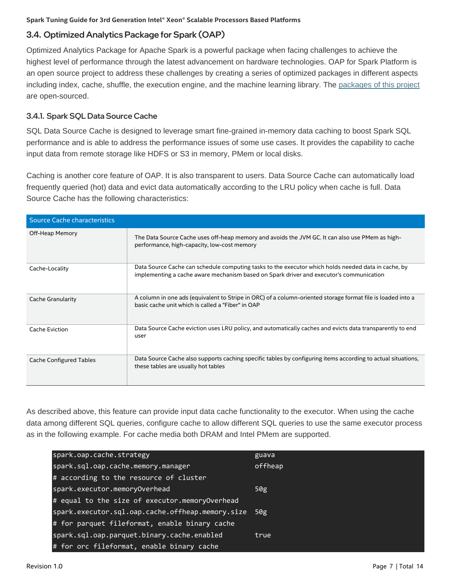# <span id="page-6-0"></span>3.4. Optimized Analytics Package for Spark (OAP)

Optimized Analytics Package for Apache Spark is a powerful package when facing challenges to achieve the highest level of performance through the latest advancement on hardware technologies. OAP for Spark Platform is an open source project to address these challenges by creating a series of optimized packages in different aspects including index, cache, shuffle, the execution engine, and the machine learning library. The [packages of this project](https://github.com/oap-project) are open-sourced.

#### 3.4.1. Spark SQL Data Source Cache

SQL Data Source Cache is designed to leverage smart fine-grained in-memory data caching to boost Spark SQL performance and is able to address the performance issues of some use cases. It provides the capability to cache input data from remote storage like HDFS or S3 in memory, PMem or local disks.

Caching is another core feature of OAP. It is also transparent to users. Data Source Cache can automatically load frequently queried (hot) data and evict data automatically according to the LRU policy when cache is full. Data Source Cache has the following characteristics:

| Source Cache characteristics   |                                                                                                                                                                                                |
|--------------------------------|------------------------------------------------------------------------------------------------------------------------------------------------------------------------------------------------|
| Off-Heap Memory                | The Data Source Cache uses off-heap memory and avoids the JVM GC. It can also use PMem as high-<br>performance, high-capacity, low-cost memory                                                 |
| Cache-Locality                 | Data Source Cache can schedule computing tasks to the executor which holds needed data in cache, by<br>implementing a cache aware mechanism based on Spark driver and executor's communication |
| Cache Granularity              | A column in one ads (equivalent to Stripe in ORC) of a column-oriented storage format file is loaded into a<br>basic cache unit which is called a "Fiber" in OAP                               |
| Cache Eviction                 | Data Source Cache eviction uses LRU policy, and automatically caches and evicts data transparently to end<br>user                                                                              |
| <b>Cache Configured Tables</b> | Data Source Cache also supports caching specific tables by configuring items according to actual situations,<br>these tables are usually hot tables                                            |

As described above, this feature can provide input data cache functionality to the executor. When using the cache data among different SQL queries, configure cache to allow different SQL queries to use the same executor process as in the following example. For cache media both DRAM and Intel PMem are supported.

| spark.oap.cache.strategy                         | guava   |
|--------------------------------------------------|---------|
| spark.sql.oap.cache.memory.manager               | offheap |
| # according to the resource of cluster           |         |
| spark.executor.memoryOverhead                    | 50g     |
| # equal to the size of executor.memoryOverhead   |         |
| spark.executor.sql.oap.cache.offheap.memory.size | 50g     |
| # for parquet fileformat, enable binary cache    |         |
| spark.sql.oap.parquet.binary.cache.enabled       | true    |
| # for orc fileformat, enable binary cache        |         |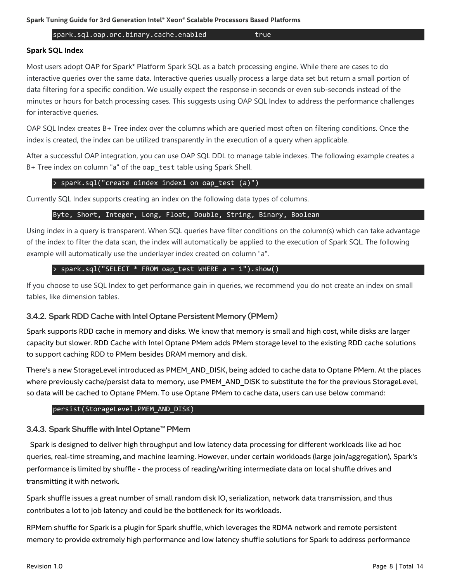spark.sql.oap.orc.binary.cache.enabled true

#### **Spark SQL Index**

Most users adopt OAP for Spark\* Platform Spark SQL as a batch processing engine. While there are cases to do interactive queries over the same data. Interactive queries usually process a large data set but return a small portion of data filtering for a specific condition. We usually expect the response in seconds or even sub-seconds instead of the minutes or hours for batch processing cases. This suggests using OAP SQL Index to address the performance challenges for interactive queries.

OAP SQL Index creates B+ Tree index over the columns which are queried most often on filtering conditions. Once the index is created, the index can be utilized transparently in the execution of a query when applicable.

After a successful OAP integration, you can use OAP SQL DDL to manage table indexes. The following example creates a B+ Tree index on column "a" of the oap\_test table using Spark Shell.

#### > spark.sql("create oindex index1 on oap\_test (a)")

Currently SQL Index supports creating an index on the following data types of columns.

#### Byte, Short, Integer, Long, Float, Double, String, Binary, Boolean

Using index in a query is transparent. When SQL queries have filter conditions on the column(s) which can take advantage of the index to filter the data scan, the index will automatically be applied to the execution of Spark SQL. The following example will automatically use the underlayer index created on column "a".

#### > spark.sql("SELECT \* FROM oap\_test WHERE a = 1").show()

If you choose to use SQL Index to get performance gain in queries, we recommend you do not create an index on small tables, like dimension tables.

#### 3.4.2. Spark RDD Cache with Intel Optane Persistent Memory (PMem)

Spark supports RDD cache in memory and disks. We know that memory is small and high cost, while disks are larger capacity but slower. RDD Cache with Intel Optane PMem adds PMem storage level to the existing RDD cache solutions to support caching RDD to PMem besides DRAM memory and disk.

There's a new StorageLevel introduced as PMEM\_AND\_DISK, being added to cache data to Optane PMem. At the places where previously cache/persist data to memory, use PMEM\_AND\_DISK to substitute the for the previous StorageLevel, so data will be cached to Optane PMem. To use Optane PMem to cache data, users can use below command:

#### persist(StorageLevel.PMEM\_AND\_DISK)

#### 3.4.3. Spark Shuffle with Intel Optane™ PMem

Spark is designed to deliver high throughput and low latency data processing for different workloads like ad hoc queries, real-time streaming, and machine learning. However, under certain workloads (large join/aggregation), Spark's performance is limited by shuffle - the process of reading/writing intermediate data on local shuffle drives and transmitting it with network.

Spark shuffle issues a great number of small random disk IO, serialization, network data transmission, and thus contributes a lot to job latency and could be the bottleneck for its workloads.

RPMem shuffle for Spark is a plugin for Spark shuffle, which leverages the RDMA network and remote persistent memory to provide extremely high performance and low latency shuffle solutions for Spark to address performance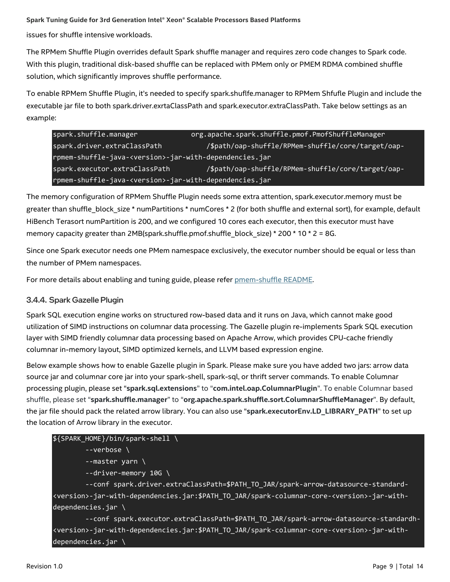issues for shuffle intensive workloads.

The RPMem Shuffle Plugin overrides default Spark shuffle manager and requires zero code changes to Spark code. With this plugin, traditional disk-based shuffle can be replaced with PMem only or PMEM RDMA combined shuffle solution, which significantly improves shuffle performance.

To enable RPMem Shuffle Plugin, it's needed to specify spark.shuflfe.manager to RPMem Shfufle Plugin and include the executable jar file to both spark.driver.exrtaClassPath and spark.executor.extraClassPath. Take below settings as an example:

spark.shuffle.manager org.apache.spark.shuffle.pmof.PmofShuffleManager spark.driver.extraClassPath /\$path/oap-shuffle/RPMem-shuffle/core/target/oaprpmem-shuffle-java-<version>-jar-with-dependencies.jar spark.executor.extraClassPath /\$path/oap-shuffle/RPMem-shuffle/core/target/oaprpmem-shuffle-java-<version>-jar-with-dependencies.jar

The memory configuration of RPMem Shuffle Plugin needs some extra attention, spark.executor.memory must be greater than shuffle\_block\_size \* numPartitions \* numCores \* 2 (for both shuffle and external sort), for example, default HiBench Terasort numPartition is 200, and we configured 10 cores each executor, then this executor must have memory capacity greater than 2MB(spark.shuffle.pmof.shuffle\_block\_size) \* 200 \* 10 \* 2 = 8G.

Since one Spark executor needs one PMem namespace exclusively, the executor number should be equal or less than the number of PMem namespaces.

For more details about enabling and tuning guide, please refer [pmem-shuffle README.](https://github.com/oap-project/pmem-shuffle)

#### 3.4.4. Spark Gazelle Plugin

Spark SQL execution engine works on structured row-based data and it runs on Java, which cannot make good utilization of SIMD instructions on columnar data processing. The Gazelle plugin re-implements Spark SQL execution layer with SIMD friendly columnar data processing based on Apache Arrow, which provides CPU-cache friendly columnar in-memory layout, SIMD optimized kernels, and LLVM based expression engine.

Below example shows how to enable Gazelle plugin in Spark. Please make sure you have added two jars: arrow data source jar and columnar core jar into your spark-shell, spark-sql, or thrift server commands. To enable Columnar processing plugin, please set "**spark.sql.extensions**" to "**com.intel.oap.ColumnarPlugin**". To enable Columnar based shuffle, please set "**spark.shuffle.manager**" to "**org.apache.spark.shuffle.sort.ColumnarShuffleManager**". By default, the jar file should pack the related arrow library. You can also use "**spark.executorEnv.LD\_LIBRARY\_PATH**" to set up the location of Arrow library in the executor.

#### \${SPARK\_HOME}/bin/spark-shell \

--verbose \

- --master yarn \
- --driver-memory 10G \

 --conf spark.driver.extraClassPath=\$PATH\_TO\_JAR/spark-arrow-datasource-standard- <version>-jar-with-dependencies.jar:\$PATH\_TO\_JAR/spark-columnar-core-<version>-jar-withdependencies.jar \

 --conf spark.executor.extraClassPath=\$PATH\_TO\_JAR/spark-arrow-datasource-standardh- <version>-jar-with-dependencies.jar:\$PATH\_TO\_JAR/spark-columnar-core-<version>-jar-withdependencies.jar \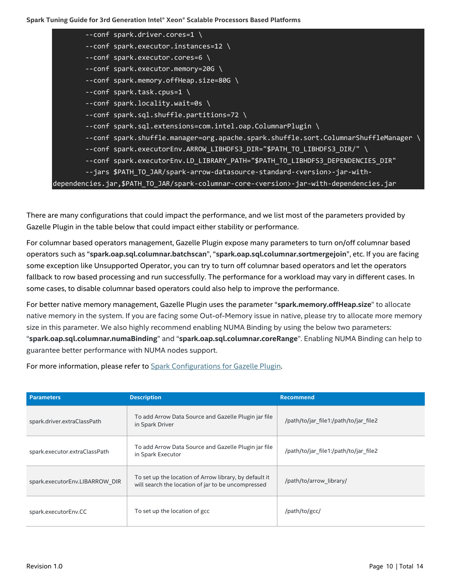| --conf spark.driver.cores=1 \                                                                     |  |
|---------------------------------------------------------------------------------------------------|--|
| --conf spark.executor.instances=12 \                                                              |  |
| --conf spark.executor.cores=6 \                                                                   |  |
| --conf spark.executor.memory=20G \                                                                |  |
| --conf spark.memory.offHeap.size=80G \                                                            |  |
| --conf spark.task.cpus=1 \                                                                        |  |
| --conf spark.locality.wait=0s \                                                                   |  |
| --conf spark.sql.shuffle.partitions=72 \                                                          |  |
| --conf spark.sql.extensions=com.intel.oap.ColumnarPlugin \                                        |  |
| --conf spark.shuffle.manager=org.apache.spark.shuffle.sort.ColumnarShuffleManager                 |  |
| --conf spark.executorEnv.ARROW_LIBHDFS3_DIR="\$PATH_TO_LIBHDFS3_DIR/" \                           |  |
| -- conf spark.executorEnv.LD LIBRARY PATH="\$PATH TO LIBHDFS3 DEPENDENCIES DIR"                   |  |
| --jars \$PATH TO JAR/spark-arrow-datasource-standard- <version>-jar-with-</version>               |  |
| dependencies.jar,\$PATH_TO_JAR/spark-columnar-core- <version>-jar-with-dependencies.jar</version> |  |

There are many configurations that could impact the performance, and we list most of the parameters provided by Gazelle Plugin in the table below that could impact either stability or performance.

For columnar based operators management, Gazelle Plugin expose many parameters to turn on/off columnar based operators such as "**spark.oap.sql.columnar.batchscan**", "**spark.oap.sql.columnar.sortmergejoin**", etc. If you are facing some exception like Unsupported Operator, you can try to turn off columnar based operators and let the operators fallback to row based processing and run successfully. The performance for a workload may vary in different cases. In some cases, to disable columnar based operators could also help to improve the performance.

For better native memory management, Gazelle Plugin uses the parameter "**spark.memory.offHeap.size**" to allocate native memory in the system. If you are facing some Out-of-Memory issue in native, please try to allocate more memory size in this parameter. We also highly recommend enabling NUMA Binding by using the below two parameters: "**spark.oap.sql.columnar.numaBinding**" and "**spark.oap.sql.columnar.coreRange**". Enabling NUMA Binding can help to guarantee better performance with NUMA nodes support.

For more information, please refer to [Spark Configurations for Gazelle Plugin.](https://github.com/oap-project/gazelle_plugin/blob/master/docs/Configuration.md)

| <b>Parameters</b>              | <b>Description</b>                                                                                           | <b>Recommend</b>                      |
|--------------------------------|--------------------------------------------------------------------------------------------------------------|---------------------------------------|
| spark.driver.extraClassPath    | To add Arrow Data Source and Gazelle Plugin jar file<br>in Spark Driver                                      | /path/to/jar file1:/path/to/jar file2 |
| spark.executor.extraClassPath  | To add Arrow Data Source and Gazelle Plugin jar file<br>in Spark Executor                                    | /path/to/jar file1:/path/to/jar file2 |
| spark.executorEnv.LIBARROW DIR | To set up the location of Arrow library, by default it<br>will search the location of jar to be uncompressed | /path/to/arrow library/               |
| spark.executorEnv.CC           | To set up the location of gcc                                                                                | /path/to/gcc/                         |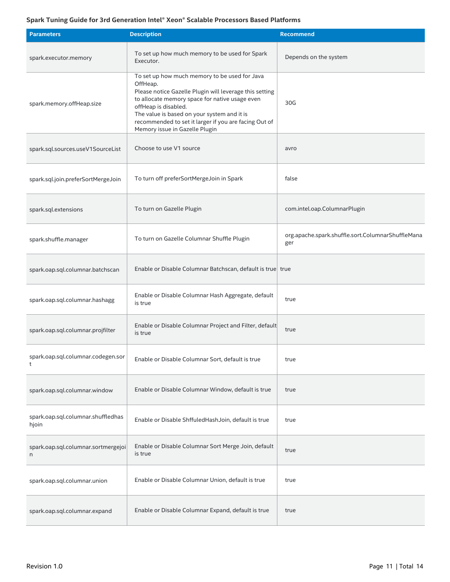| <b>Parameters</b>                           | <b>Description</b>                                                                                                                                                                                                                                                                                                                       | <b>Recommend</b>                                         |
|---------------------------------------------|------------------------------------------------------------------------------------------------------------------------------------------------------------------------------------------------------------------------------------------------------------------------------------------------------------------------------------------|----------------------------------------------------------|
| spark.executor.memory                       | To set up how much memory to be used for Spark<br>Executor.                                                                                                                                                                                                                                                                              | Depends on the system                                    |
| spark.memory.offHeap.size                   | To set up how much memory to be used for Java<br>OffHeap.<br>Please notice Gazelle Plugin will leverage this setting<br>to allocate memory space for native usage even<br>offHeap is disabled.<br>The value is based on your system and it is<br>recommended to set it larger if you are facing Out of<br>Memory issue in Gazelle Plugin | 30G                                                      |
| spark.sql.sources.useV1SourceList           | Choose to use V1 source                                                                                                                                                                                                                                                                                                                  | avro                                                     |
| spark.sql.join.preferSortMergeJoin          | To turn off preferSortMergeJoin in Spark                                                                                                                                                                                                                                                                                                 | false                                                    |
| spark.sql.extensions                        | To turn on Gazelle Plugin                                                                                                                                                                                                                                                                                                                | com.intel.oap.ColumnarPlugin                             |
| spark.shuffle.manager                       | To turn on Gazelle Columnar Shuffle Plugin                                                                                                                                                                                                                                                                                               | org.apache.spark.shuffle.sort.ColumnarShuffleMana<br>ger |
| spark.oap.sql.columnar.batchscan            | Enable or Disable Columnar Batchscan, default is true true                                                                                                                                                                                                                                                                               |                                                          |
| spark.oap.sql.columnar.hashagg              | Enable or Disable Columnar Hash Aggregate, default<br>is true                                                                                                                                                                                                                                                                            | true                                                     |
| spark.oap.sql.columnar.projfilter           | Enable or Disable Columnar Project and Filter, default<br>is true                                                                                                                                                                                                                                                                        | true                                                     |
| spark.oap.sql.columnar.codegen.sor<br>t     | Enable or Disable Columnar Sort, default is true                                                                                                                                                                                                                                                                                         | true                                                     |
| spark.oap.sql.columnar.window               | Enable or Disable Columnar Window, default is true                                                                                                                                                                                                                                                                                       | true                                                     |
| spark.oap.sql.columnar.shuffledhas<br>hjoin | Enable or Disable ShffuledHashJoin, default is true                                                                                                                                                                                                                                                                                      | true                                                     |
| spark.oap.sql.columnar.sortmergejoi<br>n    | Enable or Disable Columnar Sort Merge Join, default<br>is true                                                                                                                                                                                                                                                                           | true                                                     |
| spark.oap.sql.columnar.union                | Enable or Disable Columnar Union, default is true                                                                                                                                                                                                                                                                                        | true                                                     |
| spark.oap.sql.columnar.expand               | Enable or Disable Columnar Expand, default is true                                                                                                                                                                                                                                                                                       | true                                                     |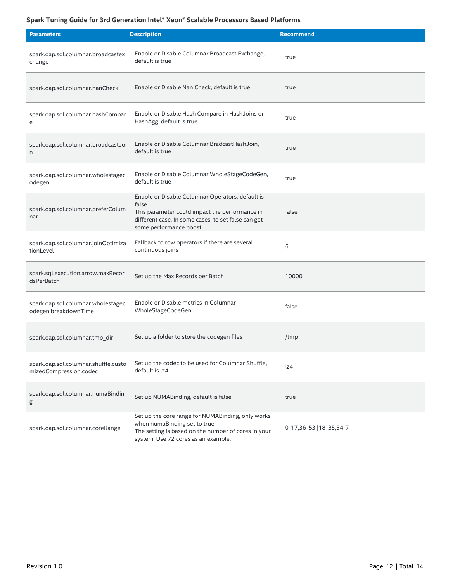| <b>Parameters</b>                                              | <b>Description</b>                                                                                                                                                                             | <b>Recommend</b>         |
|----------------------------------------------------------------|------------------------------------------------------------------------------------------------------------------------------------------------------------------------------------------------|--------------------------|
| spark.oap.sql.columnar.broadcastex<br>change                   | Enable or Disable Columnar Broadcast Exchange,<br>default is true                                                                                                                              | true                     |
| spark.oap.sql.columnar.nanCheck                                | Enable or Disable Nan Check, default is true                                                                                                                                                   | true                     |
| spark.oap.sql.columnar.hashCompar<br>e                         | Enable or Disable Hash Compare in HashJoins or<br>HashAgg, default is true                                                                                                                     | true                     |
| spark.oap.sql.columnar.broadcastJoi<br>n                       | Enable or Disable Columnar BradcastHashJoin,<br>default is true                                                                                                                                | true                     |
| spark.oap.sql.columnar.wholestagec<br>odegen                   | Enable or Disable Columnar WholeStageCodeGen,<br>default is true                                                                                                                               | true                     |
| spark.oap.sql.columnar.preferColum<br>nar                      | Enable or Disable Columnar Operators, default is<br>false.<br>This parameter could impact the performance in<br>different case. In some cases, to set false can get<br>some performance boost. | false                    |
| spark.oap.sql.columnar.joinOptimiza<br>tionLevel               | Fallback to row operators if there are several<br>continuous joins                                                                                                                             | 6                        |
| spark.sql.execution.arrow.maxRecor<br>dsPerBatch               | Set up the Max Records per Batch                                                                                                                                                               | 10000                    |
| spark.oap.sql.columnar.wholestagec<br>odegen.breakdownTime     | Enable or Disable metrics in Columnar<br>WholeStageCodeGen                                                                                                                                     | false                    |
| spark.oap.sql.columnar.tmp_dir                                 | Set up a folder to store the codegen files                                                                                                                                                     | /tmp                     |
| spark.oap.sql.columnar.shuffle.custo<br>mizedCompression.codec | Set up the codec to be used for Columnar Shuffle,<br>default is lz4                                                                                                                            | lz4                      |
| spark.oap.sql.columnar.numaBindin<br>g                         | Set up NUMABinding, default is false                                                                                                                                                           | true                     |
| spark.oap.sql.columnar.coreRange                               | Set up the core range for NUMABinding, only works<br>when numaBinding set to true.<br>The setting is based on the number of cores in your<br>system. Use 72 cores as an example.               | 0-17,36-53   18-35,54-71 |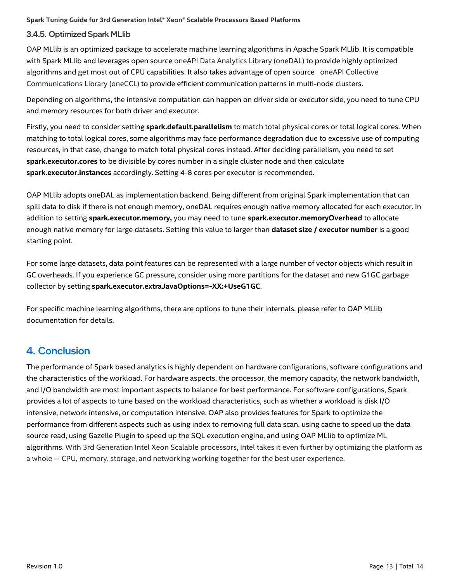#### 3.4.5. Optimized Spark MLlib

OAP MLlib is an optimized package to accelerate machine learning algorithms in Apache Spark MLlib. It is compatible with Spark MLlib and leverages open source oneAPI Data Analytics Library (oneDAL) to provide highly optimized algorithms and get most out of CPU capabilities. It also takes advantage of open source oneAPI Collective Communications Library (oneCCL) to provide efficient communication patterns in multi-node clusters.

Depending on algorithms, the intensive computation can happen on driver side or executor side, you need to tune CPU and memory resources for both driver and executor.

Firstly, you need to consider setting **spark.default.parallelism** to match total physical cores or total logical cores. When matching to total logical cores, some algorithms may face performance degradation due to excessive use of computing resources, in that case, change to match total physical cores instead. After deciding parallelism, you need to set **spark.executor.cores** to be divisible by cores number in a single cluster node and then calculate **spark.executor.instances** accordingly. Setting 4-8 cores per executor is recommended.

OAP MLlib adopts oneDAL as implementation backend. Being different from original Spark implementation that can spill data to disk if there is not enough memory, oneDAL requires enough native memory allocated for each executor. In addition to setting **spark.executor.memory,** you may need to tune **spark.executor.memoryOverhead** to allocate enough native memory for large datasets. Setting this value to larger than **dataset size / executor number** is a good starting point.

For some large datasets, data point features can be represented with a large number of vector objects which result in GC overheads. If you experience GC pressure, consider using more partitions for the dataset and new G1GC garbage collector by setting **spark.executor.extraJavaOptions=-XX:+UseG1GC**.

For specific machine learning algorithms, there are options to tune their internals, please refer to OAP MLlib documentation for details.

# <span id="page-12-0"></span>4. Conclusion

The performance of Spark based analytics is highly dependent on hardware configurations, software configurations and the characteristics of the workload. For hardware aspects, the processor, the memory capacity, the network bandwidth, and I/O bandwidth are most important aspects to balance for best performance. For software configurations, Spark provides a lot of aspects to tune based on the workload characteristics, such as whether a workload is disk I/O intensive, network intensive, or computation intensive. OAP also provides features for Spark to optimize the performance from different aspects such as using index to removing full data scan, using cache to speed up the data source read, using Gazelle Plugin to speed up the SQL execution engine, and using OAP MLlib to optimize ML algorithms. With 3rd Generation Intel Xeon Scalable processors, Intel takes it even further by optimizing the platform as a whole -- CPU, memory, storage, and networking working together for the best user experience.